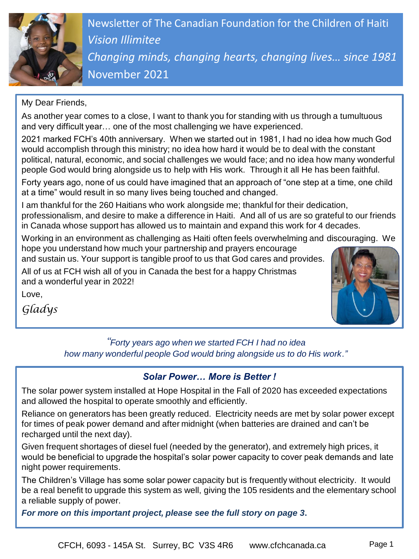

Newsletter of The Canadian Foundation for the Children of Haiti *Vision Illimitee Changing minds, changing hearts, changing lives… since 1981* November 2021

#### My Dear Friends,

As another year comes to a close, I want to thank you for standing with us through a tumultuous and very difficult year… one of the most challenging we have experienced.

2021 marked FCH's 40th anniversary. When we started out in 1981, I had no idea how much God would accomplish through this ministry; no idea how hard it would be to deal with the constant political, natural, economic, and social challenges we would face; and no idea how many wonderful people God would bring alongside us to help with His work. Through it all He has been faithful.

Forty years ago, none of us could have imagined that an approach of "one step at a time, one child at a time" would result in so many lives being touched and changed.

I am thankful for the 260 Haitians who work alongside me; thankful for their dedication,

professionalism, and desire to make a difference in Haiti. And all of us are so grateful to our friends in Canada whose support has allowed us to maintain and expand this work for 4 decades.

Working in an environment as challenging as Haiti often feels overwhelming and discouraging. We hope you understand how much your partnership and prayers encourage

and sustain us. Your support is tangible proof to us that God cares and provides.

All of us at FCH wish all of you in Canada the best for a happy Christmas and a wonderful year in 2022!



*Gladys* 

Love,

### *"Forty years ago when we started FCH I had no idea how many wonderful people God would bring alongside us to do His work."*

## *Solar Power… More is Better !*

The solar power system installed at Hope Hospital in the Fall of 2020 has exceeded expectations and allowed the hospital to operate smoothly and efficiently.

Reliance on generators has been greatly reduced. Electricity needs are met by solar power except for times of peak power demand and after midnight (when batteries are drained and can't be recharged until the next day).

Given frequent shortages of diesel fuel (needed by the generator), and extremely high prices, it would be beneficial to upgrade the hospital's solar power capacity to cover peak demands and late night power requirements.

The Children's Village has some solar power capacity but is frequently without electricity. It would be a real benefit to upgrade this system as well, giving the 105 residents and the elementary school a reliable supply of power.

*For more on this important project, please see the full story on page 3***.**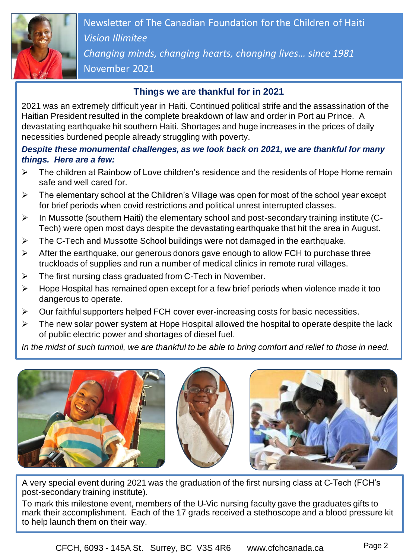

Newsletter of The Canadian Foundation for the Children of Haiti *Vision Illimitee Changing minds, changing hearts, changing lives… since 1981* November 2021

#### **Things we are thankful for in 2021**

2021 was an extremely difficult year in Haiti. Continued political strife and the assassination of the Haitian President resulted in the complete breakdown of law and order in Port au Prince. A devastating earthquake hit southern Haiti. Shortages and huge increases in the prices of daily necessities burdened people already struggling with poverty.

#### *Despite these monumental challenges, as we look back on 2021, we are thankful for many things. Here are a few:*

- $\triangleright$  The children at Rainbow of Love children's residence and the residents of Hope Home remain safe and well cared for.
- $\triangleright$  The elementary school at the Children's Village was open for most of the school year except for brief periods when covid restrictions and political unrest interrupted classes.
- $\triangleright$  In Mussotte (southern Haiti) the elementary school and post-secondary training institute (C-Tech) were open most days despite the devastating earthquake that hit the area in August.
- $\triangleright$  The C-Tech and Mussotte School buildings were not damaged in the earthquake.
- $\triangleright$  After the earthquake, our generous donors gave enough to allow FCH to purchase three truckloads of supplies and run a number of medical clinics in remote rural villages.
- $\triangleright$  The first nursing class graduated from C-Tech in November.
- $\triangleright$  Hope Hospital has remained open except for a few brief periods when violence made it too dangerous to operate.
- $\triangleright$  Our faithful supporters helped FCH cover ever-increasing costs for basic necessities.
- $\triangleright$  The new solar power system at Hope Hospital allowed the hospital to operate despite the lack of public electric power and shortages of diesel fuel.

*In the midst of such turmoil, we are thankful to be able to bring comfort and relief to those in need.*







A very special event during 2021 was the graduation of the first nursing class at C-Tech (FCH's post-secondary training institute).

To mark this milestone event, members of the U-Vic nursing faculty gave the graduates gifts to mark their accomplishment. Each of the 17 grads received a stethoscope and a blood pressure kit to help launch them on their way.

CFCH, 6093 - 145A St. Surrey, BC V3S 4R6 www.cfchcanada.ca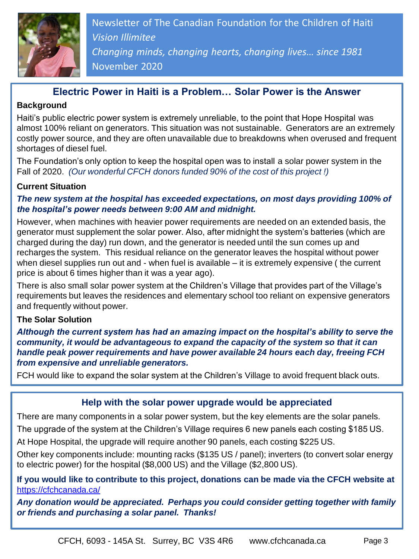

Ad *Changing minds, changing hearts, changing lives… since 1981* Newsletter of The Canadian Foundation for the Children of Haiti *Vision Illimitee* November 2020

## **Electric Power in Haiti is a Problem… Solar Power is the Answer**

#### **Background**

Haiti's public electric power system is extremely unreliable, to the point that Hope Hospital was almost 100% reliant on generators. This situation was not sustainable. Generators are an extremely costly power source, and they are often unavailable due to breakdowns when overused and frequent shortages of diesel fuel.

The Foundation's only option to keep the hospital open was to install a solar power system in the Fall of 2020. *(Our wonderful CFCH donors funded 90% of the cost of this project !)*

#### **Current Situation**

#### *The new system at the hospital has exceeded expectations, on most days providing 100% of the hospital's power needs between 9:00 AM and midnight.*

However, when machines with heavier power requirements are needed on an extended basis, the generator must supplement the solar power. Also, after midnight the system's batteries (which are charged during the day) run down, and the generator is needed until the sun comes up and recharges the system. This residual reliance on the generator leaves the hospital without power when diesel supplies run out and - when fuel is available – it is extremely expensive ( the current price is about 6 times higher than it was a year ago).

There is also small solar power system at the Children's Village that provides part of the Village's requirements but leaves the residences and elementary school too reliant on expensive generators and frequently without power.

#### **The Solar Solution**

*Although the current system has had an amazing impact on the hospital's ability to serve the community, it would be advantageous to expand the capacity of the system so that it can handle peak power requirements and have power available 24 hours each day, freeing FCH from expensive and unreliable generators.* 

FCH would like to expand the solar system at the Children's Village to avoid frequent black outs.

## **Help with the solar power upgrade would be appreciated**

There are many components in a solar power system, but the key elements are the solar panels.

The upgrade of the system at the Children's Village requires 6 new panels each costing \$185 US.

At Hope Hospital, the upgrade will require another 90 panels, each costing \$225 US.

Other key components include: mounting racks (\$135 US / panel); inverters (to convert solar energy to electric power) for the hospital (\$8,000 US) and the Village (\$2,800 US).

**If you would like to contribute to this project, donations can be made via the CFCH website at**  <https://cfchcanada.ca/>

*Any donation would be appreciated. Perhaps you could consider getting together with family or friends and purchasing a solar panel. Thanks!*